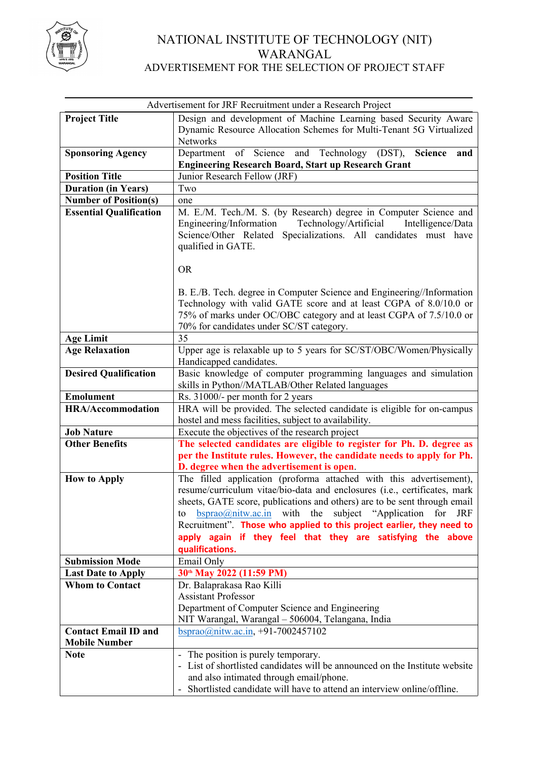

# NATIONAL INSTITUTE OF TECHNOLOGY (NIT) WARANGAL ADVERTISEMENT FOR THE SELECTION OF PROJECT STAFF

|                                                     | Advertisement for JRF Recruitment under a Research Project                                                                                  |  |  |  |  |  |  |
|-----------------------------------------------------|---------------------------------------------------------------------------------------------------------------------------------------------|--|--|--|--|--|--|
| <b>Project Title</b>                                | Design and development of Machine Learning based Security Aware                                                                             |  |  |  |  |  |  |
|                                                     | Dynamic Resource Allocation Schemes for Multi-Tenant 5G Virtualized                                                                         |  |  |  |  |  |  |
|                                                     | Networks                                                                                                                                    |  |  |  |  |  |  |
| <b>Sponsoring Agency</b>                            | Department of Science and Technology (DST),<br><b>Science</b><br>and                                                                        |  |  |  |  |  |  |
|                                                     | <b>Engineering Research Board, Start up Research Grant</b>                                                                                  |  |  |  |  |  |  |
| <b>Position Title</b>                               | Junior Research Fellow (JRF)                                                                                                                |  |  |  |  |  |  |
| <b>Duration (in Years)</b>                          | Two                                                                                                                                         |  |  |  |  |  |  |
| <b>Number of Position(s)</b>                        | one                                                                                                                                         |  |  |  |  |  |  |
| <b>Essential Qualification</b>                      | M. E./M. Tech./M. S. (by Research) degree in Computer Science and                                                                           |  |  |  |  |  |  |
|                                                     | Engineering/Information<br>Technology/Artificial<br>Intelligence/Data                                                                       |  |  |  |  |  |  |
|                                                     | Science/Other Related Specializations. All candidates must have                                                                             |  |  |  |  |  |  |
|                                                     | qualified in GATE.                                                                                                                          |  |  |  |  |  |  |
|                                                     |                                                                                                                                             |  |  |  |  |  |  |
|                                                     | <b>OR</b>                                                                                                                                   |  |  |  |  |  |  |
|                                                     |                                                                                                                                             |  |  |  |  |  |  |
|                                                     | B. E./B. Tech. degree in Computer Science and Engineering//Information<br>Technology with valid GATE score and at least CGPA of 8.0/10.0 or |  |  |  |  |  |  |
|                                                     | 75% of marks under OC/OBC category and at least CGPA of 7.5/10.0 or                                                                         |  |  |  |  |  |  |
|                                                     | 70% for candidates under SC/ST category.                                                                                                    |  |  |  |  |  |  |
| <b>Age Limit</b>                                    | 35                                                                                                                                          |  |  |  |  |  |  |
| <b>Age Relaxation</b>                               | Upper age is relaxable up to 5 years for SC/ST/OBC/Women/Physically                                                                         |  |  |  |  |  |  |
|                                                     | Handicapped candidates.                                                                                                                     |  |  |  |  |  |  |
| <b>Desired Qualification</b>                        | Basic knowledge of computer programming languages and simulation                                                                            |  |  |  |  |  |  |
|                                                     | skills in Python//MATLAB/Other Related languages                                                                                            |  |  |  |  |  |  |
| <b>Emolument</b>                                    | Rs. 31000/- per month for 2 years                                                                                                           |  |  |  |  |  |  |
| <b>HRA/Accommodation</b>                            | HRA will be provided. The selected candidate is eligible for on-campus                                                                      |  |  |  |  |  |  |
|                                                     | hostel and mess facilities, subject to availability.                                                                                        |  |  |  |  |  |  |
| <b>Job Nature</b>                                   | Execute the objectives of the research project                                                                                              |  |  |  |  |  |  |
| <b>Other Benefits</b>                               | The selected candidates are eligible to register for Ph. D. degree as                                                                       |  |  |  |  |  |  |
|                                                     | per the Institute rules. However, the candidate needs to apply for Ph.                                                                      |  |  |  |  |  |  |
|                                                     | D. degree when the advertisement is open.                                                                                                   |  |  |  |  |  |  |
| <b>How to Apply</b>                                 | The filled application (proforma attached with this advertisement),                                                                         |  |  |  |  |  |  |
|                                                     | resume/curriculum vitae/bio-data and enclosures (i.e., certificates, mark                                                                   |  |  |  |  |  |  |
|                                                     | sheets, GATE score, publications and others) are to be sent through email                                                                   |  |  |  |  |  |  |
|                                                     | $\underline{bsprao}$ <i>(a)</i> nitw.ac.in with the subject "Application for<br>JRF<br>to                                                   |  |  |  |  |  |  |
|                                                     | Recruitment". Those who applied to this project earlier, they need to                                                                       |  |  |  |  |  |  |
|                                                     | apply again if they feel that they are satisfying the above                                                                                 |  |  |  |  |  |  |
|                                                     | qualifications.                                                                                                                             |  |  |  |  |  |  |
| <b>Submission Mode</b>                              | Email Only                                                                                                                                  |  |  |  |  |  |  |
| <b>Last Date to Apply</b><br><b>Whom to Contact</b> | 30th May 2022 (11:59 PM)                                                                                                                    |  |  |  |  |  |  |
|                                                     | Dr. Balaprakasa Rao Killi<br><b>Assistant Professor</b>                                                                                     |  |  |  |  |  |  |
|                                                     |                                                                                                                                             |  |  |  |  |  |  |
|                                                     | Department of Computer Science and Engineering                                                                                              |  |  |  |  |  |  |
| <b>Contact Email ID and</b>                         | NIT Warangal, Warangal - 506004, Telangana, India<br>bsprao@nitw.ac.in, +91-7002457102                                                      |  |  |  |  |  |  |
| <b>Mobile Number</b>                                |                                                                                                                                             |  |  |  |  |  |  |
| <b>Note</b>                                         | - The position is purely temporary.                                                                                                         |  |  |  |  |  |  |
|                                                     | - List of shortlisted candidates will be announced on the Institute website                                                                 |  |  |  |  |  |  |
|                                                     | and also intimated through email/phone.                                                                                                     |  |  |  |  |  |  |
|                                                     | Shortlisted candidate will have to attend an interview online/offline.                                                                      |  |  |  |  |  |  |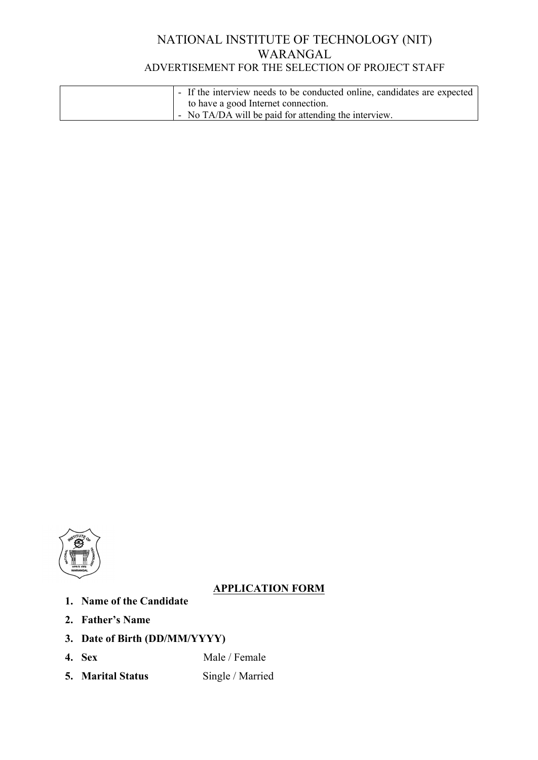# NATIONAL INSTITUTE OF TECHNOLOGY (NIT) WARANGAL ADVERTISEMENT FOR THE SELECTION OF PROJECT STAFF

| - If the interview needs to be conducted online, candidates are expected |
|--------------------------------------------------------------------------|
| to have a good Internet connection.                                      |
| - No TA/DA will be paid for attending the interview.                     |



# **APPLICATION FORM**

- **1. Name of the Candidate**
- **2. Father's Name**
- **3. Date of Birth (DD/MM/YYYY)**
- **4. Sex Male / Female**
- **5. Marital Status** Single / Married